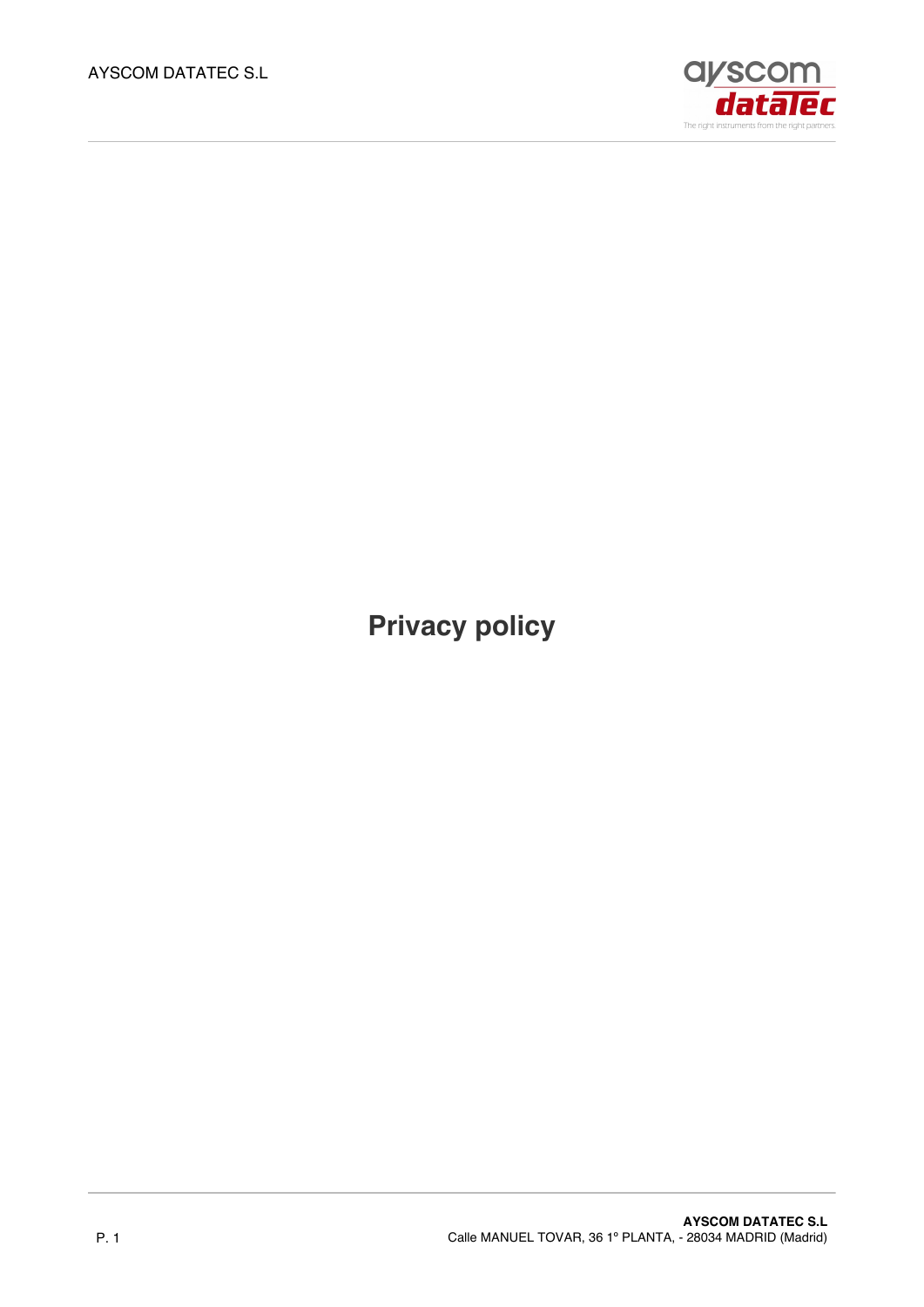

**Privacy policy**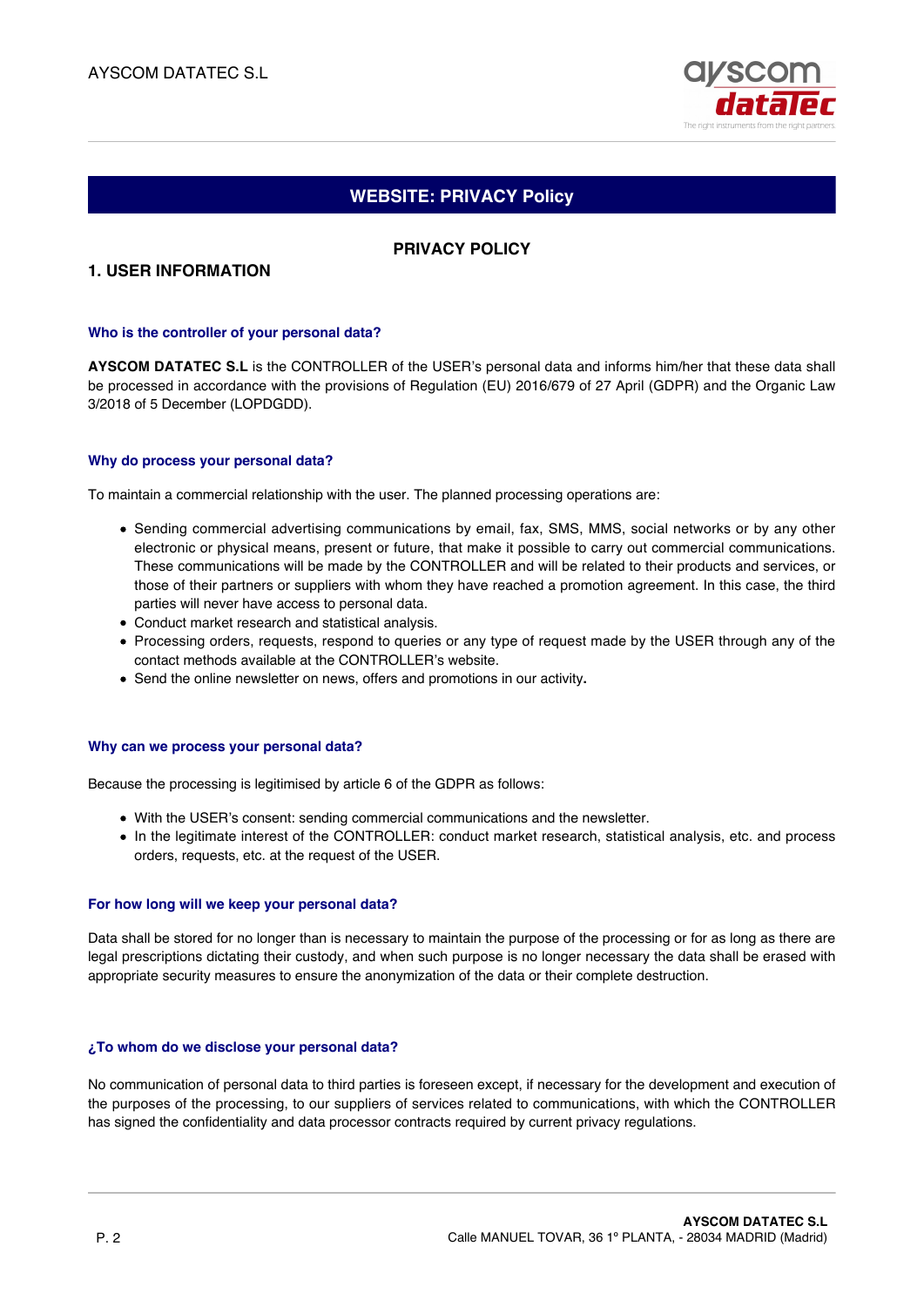

# **WEBSITE: PRIVACY Policy**

# **PRIVACY POLICY**

## **1. USER INFORMATION**

### **Who is the controller of your personal data?**

**AYSCOM DATATEC S.L** is the CONTROLLER of the USER's personal data and informs him/her that these data shall be processed in accordance with the provisions of Regulation (EU) 2016/679 of 27 April (GDPR) and the Organic Law 3/2018 of 5 December (LOPDGDD).

### **Why do process your personal data?**

To maintain a commercial relationship with the user. The planned processing operations are:

- Sending commercial advertising communications by email, fax, SMS, MMS, social networks or by any other electronic or physical means, present or future, that make it possible to carry out commercial communications. These communications will be made by the CONTROLLER and will be related to their products and services, or those of their partners or suppliers with whom they have reached a promotion agreement. In this case, the third parties will never have access to personal data.
- Conduct market research and statistical analysis.
- Processing orders, requests, respond to queries or any type of request made by the USER through any of the contact methods available at the CONTROLLER's website.
- Send the online newsletter on news, offers and promotions in our activity**.**

#### **Why can we process your personal data?**

Because the processing is legitimised by article 6 of the GDPR as follows:

- With the USER's consent: sending commercial communications and the newsletter.
- In the legitimate interest of the CONTROLLER: conduct market research, statistical analysis, etc. and process orders, requests, etc. at the request of the USER.

#### **For how long will we keep your personal data?**

Data shall be stored for no longer than is necessary to maintain the purpose of the processing or for as long as there are legal prescriptions dictating their custody, and when such purpose is no longer necessary the data shall be erased with appropriate security measures to ensure the anonymization of the data or their complete destruction.

#### **¿To whom do we disclose your personal data?**

No communication of personal data to third parties is foreseen except, if necessary for the development and execution of the purposes of the processing, to our suppliers of services related to communications, with which the CONTROLLER has signed the confidentiality and data processor contracts required by current privacy regulations.